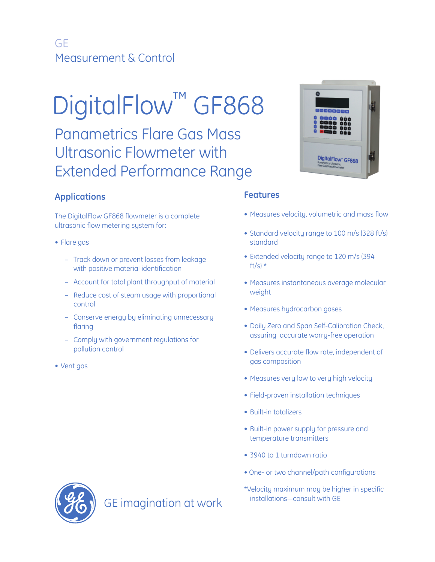# GE Measurement & Control

# DigitalFlow™ GF868

Panametrics Flare Gas Mass Ultrasonic Flowmeter with Extended Performance Range

# **Applications**

The DigitalFlow GF868 flowmeter is a complete ultrasonic flow metering system for:

- Flare gas
	- Track down or prevent losses from leakage with positive material identification
	- Account for total plant throughput of material
	- Reduce cost of steam usage with proportional control
	- Conserve energy by eliminating unnecessary flaring
	- Comply with government regulations for pollution control
- Vent gas

## **Features**

- Measures velocity, volumetric and mass flow
- Standard velocity range to 100 m/s (328 ft/s) standard
- Extended velocity range to 120 m/s (394 ft/s)  $*$
- Measures instantaneous average molecular weight
- Measures hydrocarbon gases
- Daily Zero and Span Self-Calibration Check, assuring accurate worry-free operation
- Delivers accurate flow rate, independent of gas composition
- Measures very low to very high velocity
- Field-proven installation techniques
- Built-in totalizers
- Built-in power supply for pressure and temperature transmitters
- 3940 to 1 turndown ratio
- One- or two channel/path configurations
- \*Velocity maximum may be higher in specific



GE imagination at work installations-consult with GE

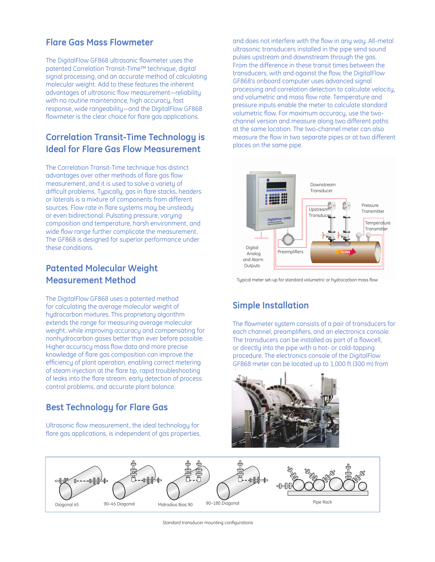# **Flare Gas Mass Flowmeter**

The DigitalFlow GF868 ultrasonic flowmeter uses the patented Correlation Transit-Time™ technique, digital signal processing, and an accurate method of calculating molecular weight. Add to these features the inherent advantages of ultrasonic flow measurement-reliability with no routine maintenance, high accuracy, fast response, wide rangeability―and the DigitalFlow GF868 flowmeter is the clear choice for flare gas applications.

# **Correlation Transit-Time Technology is Ideal for Flare Gas Flow Measurement**

The Correlation Transit-Time technique has distinct advantages over other methods of flare gas flow measurement, and it is used to solve a variety of difficult problems. Typically, gas in flare stacks, headers or laterals is a mixture of components from different sources. Flow rate in flare systems may be unsteady or even bidirectional. Pulsating pressure, varying composition and temperature, harsh environment, and wide flow range further complicate the measurement. The GF868 is designed for superior performance under these conditions.

# **Patented Molecular Weight Measurement Method**

The DigitalFlow GF868 uses a patented method for calculating the average molecular weight of hydrocarbon mixtures. This proprietary algorithm extends the range for measuring average molecular weight, while improving accuracy and compensating for nonhydrocarbon gases better than ever before possible. Higher accuracy mass flow data and more precise knowledge of flare gas composition can improve the efficiency of plant operation, enabling correct metering of steam injection at the flare tip, rapid troubleshooting of leaks into the flare stream, early detection of process control problems, and accurate plant balance.

# **Best Technology for Flare Gas**

Ultrasonic flow measurement, the ideal technology for flare gas applications, is independent of gas properties, and does not interfere with the flow in any way. All-metal ultrasonic transducers installed in the pipe send sound pulses upstream and downstream through the gas. From the difference in these transit times between the transducers, with and against the flow, the DigitalFlow GF868's onboard computer uses advanced signal processing and correlation detection to calculate velocity, and volumetric and mass flow rate. Temperature and pressure inputs enable the meter to calculate standard volumetric flow. For maximum accuracy, use the twochannel version and measure along two different paths at the same location. The two-channel meter can also measure the flow in two separate pipes or at two different places on the same pipe.



Typical meter set-up for standard volumetric or hydrocarbon mass flow

# **Simple Installation**

The flowmeter system consists of a pair of transducers for each channel, preamplifiers, and an electronics console. The transducers can be installed as part of a flowcell, or directly into the pipe with a hot- or cold-tapping procedure. The electronics console of the DigitalFlow GF868 meter can be located up to 1,000 ft (300 m) from





Standard transducer mounting configurations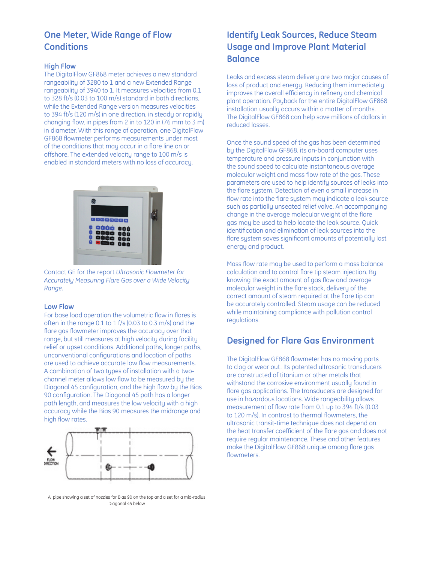# **One Meter, Wide Range of Flow Conditions**

#### **High Flow**

The DigitalFlow GF868 meter achieves a new standard rangeability of 3280 to 1 and a new Extended Range rangeability of 3940 to 1. It measures velocities from 0.1 to 328 ft/s (0.03 to 100 m/s) standard in both directions, while the Extended Range version measures velocities to 394 ft/s (120 m/s) in one direction, in steady or rapidly changing flow, in pipes from 2 in to 120 in  $(76 \text{ mm to } 3 \text{ m})$ in diameter. With this range of operation, one DigitalFlow GF868 flowmeter performs measurements under most of the conditions that may occur in a flare line on or offshore. The extended velocity range to 100 m/s is enabled in standard meters with no loss of accuracy.



Contact GE for the report *Ultrasonic Flowmeter for Accurately Measuring Flare Gas over a Wide Velocity Range*.

#### **Low Flow**

For base load operation the volumetric flow in flares is often in the range 0.1 to 1 f/s (0.03 to 0.3 m/s) and the flare gas flowmeter improves the accuracy over that range, but still measures at high velocity during facility relief or upset conditions. Additional paths, longer paths, unconventional configurations and location of paths are used to achieve accurate low flow measurements. A combination of two types of installation with a twochannel meter allows low flow to be measured by the Diagonal 45 configuration, and the high flow by the Bias 90 configuration. The Diagonal 45 path has a longer path length, and measures the low velocity with a high accuracy while the Bias 90 measures the midrange and high flow rates.



A pipe showing a set of nozzles for Bias 90 on the top and a set for a mid-radius Diagonal 45 below

# **Identify Leak Sources, Reduce Steam Usage and Improve Plant Material Balance**

Leaks and excess steam delivery are two major causes of loss of product and energy. Reducing them immediately improves the overall efficiency in refinery and chemical plant operation. Payback for the entire DigitalFlow GF868 installation usually occurs within a matter of months. The DigitalFlow GF868 can help save millions of dollars in reduced losses.

Once the sound speed of the gas has been determined by the DigitalFlow GF868, its on-board computer uses temperature and pressure inputs in conjunction with the sound speed to calculate instantaneous average molecular weight and mass flow rate of the gas. These parameters are used to help identify sources of leaks into the flare system. Detection of even a small increase in flow rate into the flare system may indicate a leak source such as partially unseated relief valve. An accompanying change in the average molecular weight of the flare gas may be used to help locate the leak source. Quick identification and elimination of leak sources into the flare system saves significant amounts of potentially lost energy and product.

Mass flow rate may be used to perform a mass balance calculation and to control flare tip steam injection. By knowing the exact amount of gas flow and average molecular weight in the flare stack, delivery of the correct amount of steam required at the flare tip can be accurately controlled. Steam usage can be reduced while maintaining compliance with pollution control regulations.

# **Designed for Flare Gas Environment**

The DigitalFlow GF868 flowmeter has no moving parts to clog or wear out. Its patented ultrasonic transducers are constructed of titanium or other metals that withstand the corrosive environment usually found in flare gas applications. The transducers are designed for use in hazardous locations. Wide rangeability allows measurement of flow rate from 0.1 up to 394 ft/s (0.03) to 120 m/s). In contrast to thermal flowmeters, the ultrasonic transit-time technique does not depend on the heat transfer coefficient of the flare aas and does not require regular maintenance. These and other features make the DigitalFlow GF868 unique among flare gas flowmeters.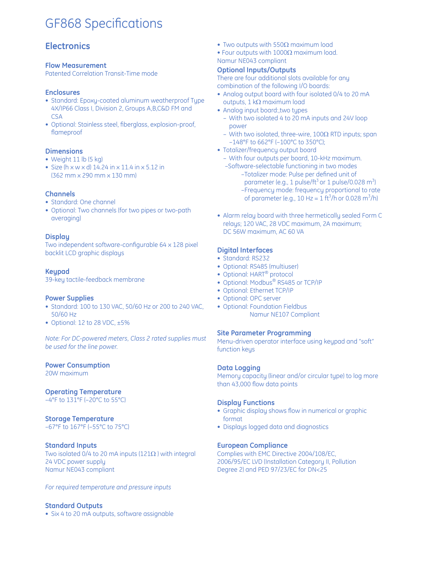# **GF868 Specifications**

# **Electronics**

#### **Flow Measurement**

Patented Correlation Transit-Time mode

#### **Enclosures**

- Standard: Epoxy-coated aluminum weatherproof Type 4X/IP66 Class I, Division 2, Groups A,B,C&D FM and CSA
- Optional: Stainless steel, fiberglass, explosion-proof, flameproof

#### **Dimensions**

- Weight 11 lb (5 kg)
- Size (h  $\times$  w  $\times$  d) 14.24 in  $\times$  11.4 in  $\times$  5.12 in (362 mm x 290 mm x 130 mm)

#### **Channels**

- Standard: One channel
- Optional: Two channels (for two pipes or two-path averaging)

#### **Display**

Two independent software-configurable 64 x 128 pixel backlit LCD graphic displays

#### **Keypad**

39-key tactile-feedback membrane

#### **Power Supplies**

- Standard: 100 to 130 VAC, 50/60 Hz or 200 to 240 VAC, 50/60 Hz
- Optional: 12 to 28 VDC, ±5%

*Note: For DC-powered meters, Class 2 rated supplies must be used for the line power.*

#### **Power Consumption**

20W maximum

## **Operating Temperature**

–4°F to 131°F (–20°C to 55°C)

## **Storage Temperature**

–67°F to 167°F (–55°C to 75°C)

#### **Standard Inputs**

Two isolated 0/4 to 20 mA inputs ( $121\Omega$ ) with integral 24 VDC power supply Namur NE043 compliant

*For required temperature and pressure inputs*

#### **Standard Outputs**

• Six 4 to 20 mA outputs, software assignable

- Two outputs with 550 $\Omega$  maximum load
- Four outputs with  $1000\Omega$  maximum load. Namur NE043 compliant

#### **Optional Inputs/Outputs**

There are four additional slots available for any combination of the following I/O boards:

- Analog output board with four isolated 0/4 to 20 mA outputs,  $1 \text{ k}\Omega$  maximum load
- Analog input board:,two types
	- With two isolated 4 to 20 mA inputs and 24V loop power
	- With two isolated, three-wire,  $100\Omega$  RTD inputs; span –148°F to 662°F (–100°C to 350°C);
- Totalizer/frequency output board
	- With four outputs per board, 10-kHz maximum.
- –Software-selectable functioning in two modes –Totalizer mode: Pulse per defined unit of parameter (e.g., 1 pulse/ft<sup>3</sup> or 1 pulse/0.028  $m^3$ ) – Frequency mode: frequency proportional to rate of parameter (e.g., 10 Hz =  $1 \text{ ft}^3/\text{h}$  or 0.028 m<sup>3</sup>/h)
- Alarm relay board with three hermetically sealed Form C relays; 120 VAC, 28 VDC maximum, 2A maximum; DC 56W maximum, AC 60 VA

#### **Digital Interfaces**

- Standard: RS232
- Optional: RS485 (multiuser)
- Optional: HART® protocol
- Optional: Modbus® RS485 or TCP/IP
- Optional: Ethernet TCP/IP
- Optional: OPC server
- Optional: Foundation Fieldbus Namur NE107 Compliant

#### **Site Parameter Programming**

Menu-driven operator interface using keypad and "soft" function keys

#### **Data Logging**

Memory capacity (linear and/or circular type) to log more than 43,000 flow data points

#### **Display Functions**

- Graphic display shows flow in numerical or graphic format
- Displays logged data and diagnostics

#### **European Compliance**

Complies with EMC Directive 2004/108/EC, 2006/95/EC LVD (Installation Category II, Pollution Degree 2) and PED 97/23/EC for DN<25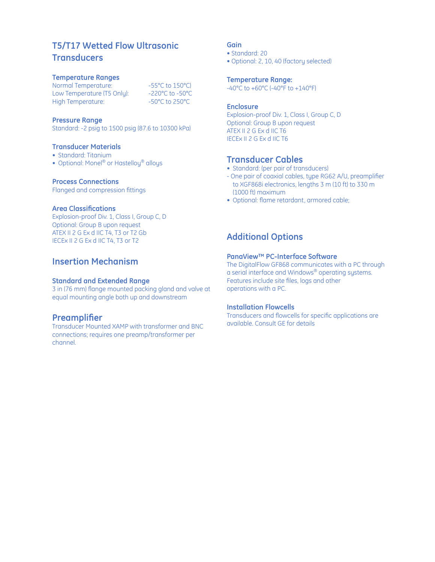# **T5/T17 Wetted Flow Ultrasonic Transducers**

#### **Temperature Ranges**

Normal Temperature: -55°C to 150°C)<br>Low Temperature (T5 Only): -220°C to -50°C Low Temperature (T5 Only):  $-220^{\circ}$ C to -50°C<br>High Temperature:  $-50^{\circ}$ C to 250°C High Temperature:

#### **Pressure Range**

Standard: -2 psig to 1500 psig (87.6 to 10300 kPa)

#### **Transducer Materials**

- Standard: Titanium
- Optional: Monel<sup>®</sup> or Hastelloy<sup>®</sup> alloys

#### **Process Connections**

Flanged and compression fittings

#### **Area Classifications**

Explosion-proof Div. 1, Class I, Group C, D Optional: Group B upon request ATEX II 2 G Ex d IIC T4, T3 or T2 Gb IECEx II 2 G Ex d IIC T4, T3 or T2

## **Insertion Mechanism**

#### **Standard and Extended Range**

3 in (76 mm) flange mounted packing gland and valve at equal mounting angle both up and downstream

#### **Preamplifier**

Transducer Mounted XAMP with transformer and BNC connections; requires one preamp/transformer per channel.

#### **Gain**

- Standard: 20
- Optional: 2, 10, 40 (factory selected)

#### **Temperature Range:**

-40°C to +60°C (-40°F to +140°F)

#### **Enclosure**

Explosion-proof Div. 1, Class I, Group C, D Optional: Group B upon request ATEX II 2 G Ex d IIC T6 IECEx II 2 G Ex d IIC T6

#### **Transducer Cables**

- Standard: (per pair of transducers)
- One pair of coaxial cables, type RG62 A/U, preamplifier to XGF868i electronics, lengths 3 m (10 ft) to 330 m (1000 ft) maximum
- Optional: flame retardant, armored cable;

## **Additional Options**

#### **PanaView™ PC-Interface Software**

The DigitalFlow GF868 communicates with a PC through a serial interface and Windows® operating systems. Features include site files, logs and other operations with a PC.

#### **Installation Flowcells**

Transducers and flowcells for specific applications are available. Consult GE for details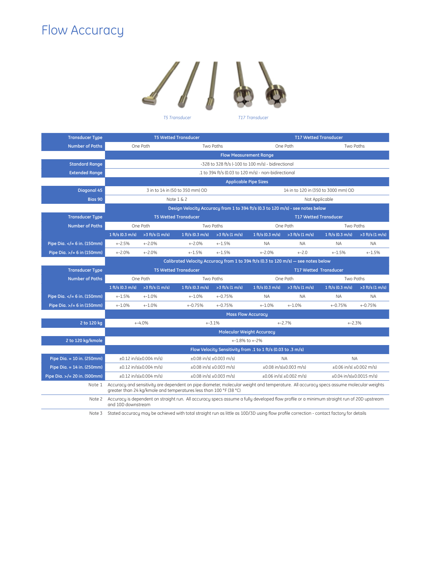# Flow Accuracy



| <b>Transducer Type</b>                                                                                                                                                                                                      | <b>T5 Wetted Transducer</b>                                                                                                                                                                                  |                   |                                   |                                     | <b>T17 Wetted Transducer</b>      |                   |                                   |                   |
|-----------------------------------------------------------------------------------------------------------------------------------------------------------------------------------------------------------------------------|--------------------------------------------------------------------------------------------------------------------------------------------------------------------------------------------------------------|-------------------|-----------------------------------|-------------------------------------|-----------------------------------|-------------------|-----------------------------------|-------------------|
| <b>Number of Paths</b>                                                                                                                                                                                                      | One Path                                                                                                                                                                                                     |                   | Two Paths                         |                                     | One Path                          |                   | Two Paths                         |                   |
|                                                                                                                                                                                                                             | <b>Flow Measurement Range</b>                                                                                                                                                                                |                   |                                   |                                     |                                   |                   |                                   |                   |
| <b>Standard Range</b>                                                                                                                                                                                                       | -328 to 328 ft/s (-100 to 100 m/s) - bidirectional                                                                                                                                                           |                   |                                   |                                     |                                   |                   |                                   |                   |
| <b>Extended Range</b>                                                                                                                                                                                                       | .1 to 394 ft/s (0.03 to 120 m/s) - non-bidirectional                                                                                                                                                         |                   |                                   |                                     |                                   |                   |                                   |                   |
|                                                                                                                                                                                                                             | <b>Applicable Pipe Sizes</b>                                                                                                                                                                                 |                   |                                   |                                     |                                   |                   |                                   |                   |
| <b>Diagonal 45</b>                                                                                                                                                                                                          | 3 in to 14 in (50 to 350 mm) OD                                                                                                                                                                              |                   |                                   | 14 in to 120 in (350 to 3000 mm) OD |                                   |                   |                                   |                   |
| Bias 90                                                                                                                                                                                                                     | Note $1 \& 2$                                                                                                                                                                                                |                   |                                   |                                     | Not Applicable                    |                   |                                   |                   |
|                                                                                                                                                                                                                             | Design Velocity Accuracy from 1 to 394 ft/s (0.3 to 120 m/s) - see notes below                                                                                                                               |                   |                                   |                                     |                                   |                   |                                   |                   |
| <b>Transducer Type</b>                                                                                                                                                                                                      | <b>T5 Wetted Transducer</b>                                                                                                                                                                                  |                   |                                   | <b>T17 Wetted Transducer</b>        |                                   |                   |                                   |                   |
| <b>Number of Paths</b>                                                                                                                                                                                                      | One Path                                                                                                                                                                                                     |                   | Two Paths                         |                                     | One Path                          |                   | Two Paths                         |                   |
|                                                                                                                                                                                                                             | 1 ft/s (0.3 m/s)                                                                                                                                                                                             | $>3$ ft/s (1 m/s) | 1 ft/s $(0.3 \text{ m/s})$        | $>3$ ft/s (1 m/s)                   | 1 ft/s (0.3 m/s)                  | $>3$ ft/s (1 m/s) | 1 ft/s (0.3 m/s)                  | $>3$ ft/s (1 m/s) |
| Pipe Dia. = 6 in. (150mm)</th <th><math>+2.5%</math></th> <th><math>+2.0%</math></th> <th><math>+2.0%</math></th> <th><math>+ -1.5%</math></th> <th><b>NA</b></th> <th><b>NA</b></th> <th><b>NA</b></th> <th><b>NA</b></th> | $+2.5%$                                                                                                                                                                                                      | $+2.0%$           | $+2.0%$                           | $+ -1.5%$                           | <b>NA</b>                         | <b>NA</b>         | <b>NA</b>                         | <b>NA</b>         |
| Pipe Dia. $>$ /= 6 in (150mm)                                                                                                                                                                                               | $+2.0%$                                                                                                                                                                                                      | $+2.0%$           | $+ -1.5%$                         | $+1.5%$                             | $+2.0%$                           | $+-2.0$           | $+ -1.5%$                         | $+ -1.5%$         |
|                                                                                                                                                                                                                             | Calibrated Velocity Accuracy from 1 to 394 ft/s (0.3 to 120 m/s) - see notes below                                                                                                                           |                   |                                   |                                     |                                   |                   |                                   |                   |
| <b>Transducer Type</b>                                                                                                                                                                                                      | <b>T5 Wetted Transducer</b>                                                                                                                                                                                  |                   |                                   |                                     | <b>T17 Wetted Transducer</b>      |                   |                                   |                   |
| <b>Number of Paths</b>                                                                                                                                                                                                      | One Path                                                                                                                                                                                                     |                   | Two Paths                         |                                     | One Path                          |                   | Two Paths                         |                   |
|                                                                                                                                                                                                                             | 1 ft/s (0.3 m/s)                                                                                                                                                                                             | $>3$ ft/s (1 m/s) | 1 ft/s $(0.3 \text{ m/s})$        | $>3$ ft/s (1 m/s)                   | 1 ft/s $(0.3 \text{ m/s})$        | $>3$ ft/s (1 m/s) | 1 ft/s (0.3 m/s)                  | $>3$ ft/s (1 m/s) |
| Pipe Dia. $\lt/= 6$ in. (150mm)                                                                                                                                                                                             | $+1.5%$                                                                                                                                                                                                      | $+ -1.0%$         | $+ -1.0%$                         | $+0.75%$                            | <b>NA</b>                         | <b>NA</b>         | <b>NA</b>                         | <b>NA</b>         |
| Pipe Dia. $>$ /= 6 in (150mm)                                                                                                                                                                                               | $+1.0%$                                                                                                                                                                                                      | $+ -1.0%$         | $+0.75%$                          | $+0.75%$                            | $+ -1.0%$                         | $+ -1.0%$         | $+ -0.75%$                        | $+ -0.75%$        |
|                                                                                                                                                                                                                             | <b>Mass Flow Accuracy</b>                                                                                                                                                                                    |                   |                                   |                                     |                                   |                   |                                   |                   |
| 2 to 120 kg                                                                                                                                                                                                                 | $+ -4.0%$<br>$+-3.1%$                                                                                                                                                                                        |                   |                                   |                                     | $+2.7%$                           |                   | $+2.3%$                           |                   |
|                                                                                                                                                                                                                             | <b>Molecular Weight Accuracy</b>                                                                                                                                                                             |                   |                                   |                                     |                                   |                   |                                   |                   |
| 2 to 120 kg/kmole                                                                                                                                                                                                           | $+1.8\%$ to $+2\%$                                                                                                                                                                                           |                   |                                   |                                     |                                   |                   |                                   |                   |
|                                                                                                                                                                                                                             | Flow Velocity Sensitivity from .1 to 1 ft/s (0.03 to .3 m/s)                                                                                                                                                 |                   |                                   |                                     |                                   |                   |                                   |                   |
| Pipe Dia. = 10 in. (250mm)                                                                                                                                                                                                  | $\pm 0.12$ in/s( $\pm 0.004$ m/s)                                                                                                                                                                            |                   | $\pm 0.08$ in/s( $\pm 0.003$ m/s) |                                     | <b>NA</b>                         |                   | <b>NA</b>                         |                   |
| Pipe Dia. $= 14$ in. (250mm)                                                                                                                                                                                                | $\pm 0.12$ in/s( $\pm 0.004$ m/s)                                                                                                                                                                            |                   | $\pm 0.08$ in/s( $\pm 0.003$ m/s) |                                     | $\pm 0.08$ in/s( $\pm 0.003$ m/s) |                   | $\pm 0.06$ in/s( $\pm 0.002$ m/s) |                   |
| Pipe Dia. $>$ /= 20 in. (500mm)                                                                                                                                                                                             | $\pm 0.12$ in/s( $\pm 0.004$ m/s)<br>$\pm 0.08$ in/s( $\pm 0.003$ m/s)<br>$\pm 0.06$ in/s( $\pm 0.002$ m/s)<br>$\pm 0.04$ in/s( $\pm 0.0015$ m/s)                                                            |                   |                                   |                                     |                                   |                   |                                   |                   |
| Note 1                                                                                                                                                                                                                      | Accuracy and sensitivity are dependent on pipe diameter, molecular weight and temperature. All accuracy specs assume molecular weights<br>greater than 24 kg/kmole and temperatures less than 100 °F (38 °C) |                   |                                   |                                     |                                   |                   |                                   |                   |
| Note 2                                                                                                                                                                                                                      | Accuracy is dependent on straight run. All accuracy specs assume a fully developed flow profile or a minimum straight run of 20D upstream<br>and 10D downstream                                              |                   |                                   |                                     |                                   |                   |                                   |                   |

Note 3 Stated accuracy may be achieved with total straight run as little as 10D/3D using flow profile correction - contact factory for details